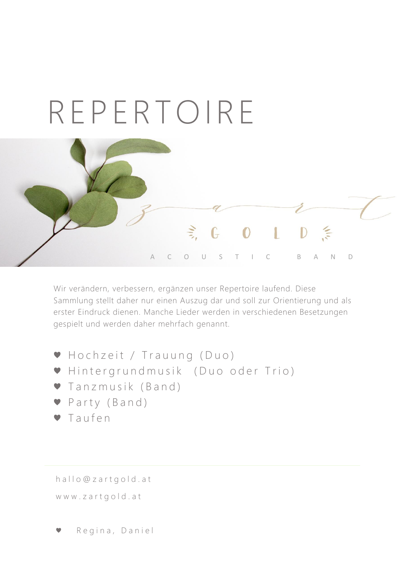

Wir verändern, verbessern, ergänzen unser Repertoire laufend. Diese Sammlung stellt daher nur einen Auszug dar und soll zur Orientierung und als erster Eindruck dienen. Manche Lieder werden in verschiedenen Besetzungen gespielt und werden daher mehrfach genannt.

● Hochzeit / Trauung (Duo) ● Hintergrundmusik (Duo oder Trio) ● Tanzmusik (Band) ● Party (Band) ● Taufen

[h a l l o @ z a r t g o l d . a t](mailto:hallo@zartgold.at) www.zartgold.at

Regina, Daniel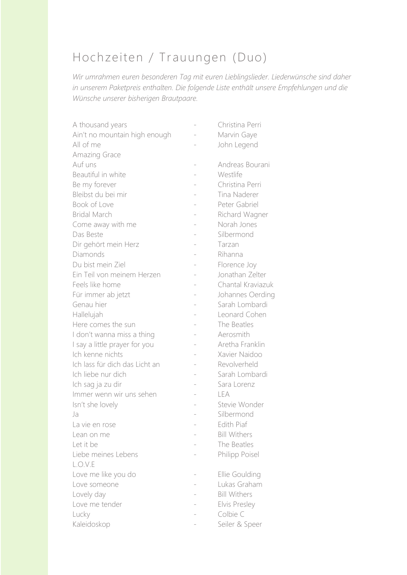## Hochzeiten / Trauungen (Duo)

*Wir umrahmen euren besonderen Tag mit euren Lieblingslieder. Liederwünsche sind daher in unserem Paketpreis enthalten. Die folgende Liste enthält unsere Empfehlungen und die Wünsche unserer bisherigen Brautpaare.*

| A thousand years               | Christina Perri     |
|--------------------------------|---------------------|
| Ain't no mountain high enough  | Marvin Gaye         |
| All of me                      | John Legend         |
| Amazing Grace                  |                     |
| Auf uns                        | Andreas Bourani     |
| Beautiful in white             | Westlife            |
| Be my forever                  | Christina Perri     |
| Bleibst du bei mir             | Tina Naderer        |
| Book of Love                   | Peter Gabriel       |
| <b>Bridal March</b>            | Richard Wagner      |
| Come away with me              | Norah Jones         |
| Das Beste                      | Silbermond          |
| Dir gehört mein Herz           | Tarzan              |
| Diamonds                       | Rihanna             |
| Du bist mein Ziel              | Florence Joy        |
| Ein Teil von meinem Herzen     | Jonathan Zelter     |
| Feels like home                | Chantal Kraviazuk   |
| Für immer ab jetzt             | Johannes Oerding    |
| Genau hier                     | Sarah Lombardi      |
| Hallelujah                     | Leonard Cohen       |
| Here comes the sun             | The Beatles         |
| I don't wanna miss a thing     | Aerosmith           |
| I say a little prayer for you  | Aretha Franklin     |
| Ich kenne nichts               | Xavier Naidoo       |
| Ich lass für dich das Licht an | Revolverheld        |
| Ich liebe nur dich             | Sarah Lombardi      |
| Ich sag ja zu dir              | Sara Lorenz         |
| Immer wenn wir uns sehen       | LEA                 |
| Isn't she lovely               | Stevie Wonder       |
| Ja                             | Silbermond          |
| La vie en rose                 | Edith Piaf          |
| Lean on me                     | <b>Bill Withers</b> |
| Let it be                      | The Beatles         |
| Liebe meines Lebens            | Philipp Poisel      |
| L.O.V.E                        |                     |
| Love me like you do            | Ellie Goulding      |
| Love someone                   | Lukas Graham        |
| Lovely day                     | <b>Bill Withers</b> |
| Love me tender                 | Elvis Presley       |
| Lucky                          | Colbie C            |
| Kaleidoskop                    | Seiler & Speer      |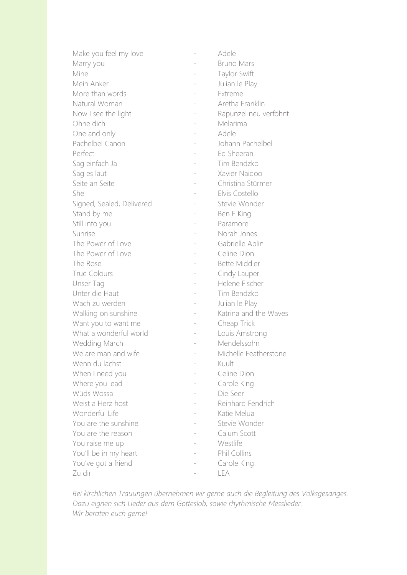| Make you feel my love     | Adele                 |
|---------------------------|-----------------------|
| Marry you                 | <b>Bruno Mars</b>     |
| Mine                      | Taylor Swift          |
| Mein Anker                | Julian le Play        |
| More than words           | Extreme               |
| Natural Woman             | Aretha Franklin       |
| Now I see the light       | Rapunzel neu verföhnt |
| Ohne dich                 | Melarima              |
| One and only              | Adele                 |
| Pachelbel Canon           | Johann Pachelbel      |
| Perfect                   | Ed Sheeran            |
| Sag einfach Ja            | Tim Bendzko           |
| Sag es laut               | Xavier Naidoo         |
| Seite an Seite            | Christina Stürmer     |
| She                       | Elvis Costello        |
| Signed, Sealed, Delivered | Stevie Wonder         |
| Stand by me               | Ben E King            |
| Still into you            | Paramore              |
| Sunrise                   | Norah Jones           |
| The Power of Love         | Gabrielle Aplin       |
| The Power of Love         | Celine Dion           |
| The Rose                  | <b>Bette Middler</b>  |
| <b>True Colours</b>       | Cindy Lauper          |
| Unser Tag                 | Helene Fischer        |
| Unter die Haut            | Tim Bendzko           |
| Wach zu werden            | Julian le Play        |
| Walking on sunshine       | Katrina and the Waves |
| Want you to want me       | Cheap Trick           |
| What a wonderful world    | Louis Amstrong        |
| Wedding March             | Mendelssohn           |
| We are man and wife       | Michelle Featherstone |
| Wenn du lachst            | Kuult                 |
| When I need you           | Celine Dion           |
| Where you lead            | Carole King           |
| Wüds Wossa                | Die Seer              |
| Weist a Herz host         | Reinhard Fendrich     |
| Wonderful Life            | Katie Melua           |
| You are the sunshine      | Stevie Wonder         |
| You are the reason        | Calum Scott           |
| You raise me up           | Westlife              |
| You'll be in my heart     | Phil Collins          |
| You've got a friend       | Carole King           |
| Zu dir                    | LEA                   |

*Bei kirchlichen Trauungen übernehmen wir gerne auch die Begleitung des Volksgesanges. Dazu eignen sich Lieder aus dem Gotteslob, sowie rhythmische Messlieder. Wir beraten euch gerne!*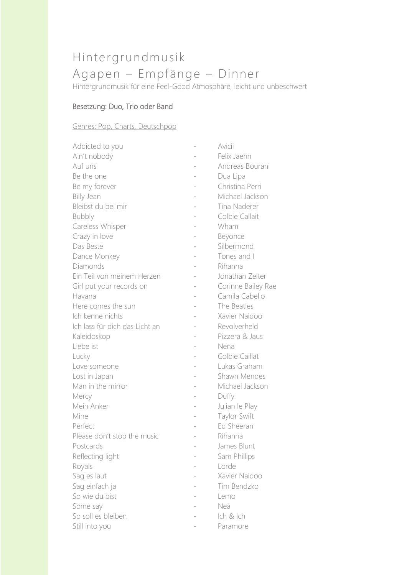# Hintergrundmusik Agapen – Empfänge – Dinner

Hintergrundmusik für eine Feel-Good Atmosphäre, leicht und unbeschwert

### Besetzung: Duo, Trio oder Band

#### Genres: Pop, Charts, Deutschpop

| Addicted to you                |                   | Avicii             |
|--------------------------------|-------------------|--------------------|
| Ain't nobody                   |                   | Felix Jaehn        |
| Auf uns                        |                   | Andreas Bourani    |
| Be the one                     |                   | Dua Lipa           |
| Be my forever                  |                   | Christina Perri    |
| Billy Jean                     |                   | Michael Jackson    |
| Bleibst du bei mir             |                   | Tina Naderer       |
| <b>Bubbly</b>                  |                   | Colbie Callait     |
| Careless Whisper               |                   | Wham               |
| Crazy in love                  |                   | Beyonce            |
| Das Beste                      |                   | Silbermond         |
| Dance Monkey                   |                   | Tones and I        |
| Diamonds                       |                   | Rihanna            |
| Ein Teil von meinem Herzen     | $\qquad \qquad -$ | Jonathan Zelter    |
| Girl put your records on       |                   | Corinne Bailey Rae |
| Havana                         |                   | Camila Cabello     |
| Here comes the sun             |                   | The Beatles        |
| Ich kenne nichts               |                   | Xavier Naidoo      |
| Ich lass für dich das Licht an |                   | Revolverheld       |
| Kaleidoskop                    |                   | Pizzera & Jaus     |
| Liebe ist                      |                   | Nena               |
| Lucky                          |                   | Colbie Caillat     |
| Love someone                   |                   | Lukas Graham       |
| Lost in Japan                  |                   | Shawn Mendes       |
| Man in the mirror              |                   | Michael Jackson    |
| Mercy                          |                   | Duffy              |
| Mein Anker                     | $\overline{a}$    | Julian le Play     |
| Mine                           |                   | Taylor Swift       |
| Perfect                        |                   | Ed Sheeran         |
| Please don't stop the music    |                   | Rihanna            |
| Postcards                      |                   | James Blunt        |
| Reflecting light               |                   | Sam Phillips       |
| Royals                         |                   | Lorde              |
| Sag es laut                    |                   | Xavier Naidoo      |
| Sag einfach ja                 |                   | Tim Bendzko        |
| So wie du bist                 |                   | Lemo               |
| Some say                       |                   | Nea                |
| So soll es bleiben             |                   | Ich & Ich          |
| Still into you                 |                   | Paramore           |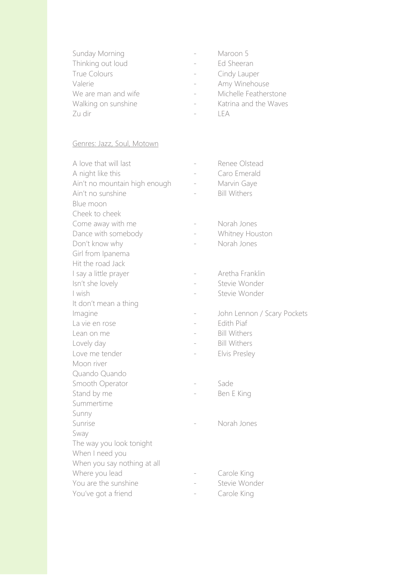| Sunday Morning      | Maroon 5              |
|---------------------|-----------------------|
| Thinking out loud   | Ed Sheeran            |
| <b>True Colours</b> | Cindy Lauper          |
| Valerie             | Amy Winehouse         |
| We are man and wife | Michelle Featherstone |
| Walking on sunshine | Katrina and the Waves |
| Zu dir              | I F A                 |
|                     |                       |

#### Genres: Jazz, Soul, Motown

| A love that will last         |                | Renee Olstead               |
|-------------------------------|----------------|-----------------------------|
| A night like this             |                | Caro Emerald                |
| Ain't no mountain high enough |                | Marvin Gaye                 |
| Ain't no sunshine             |                | <b>Bill Withers</b>         |
| Blue moon                     |                |                             |
| Cheek to cheek                |                |                             |
| Come away with me             |                | Norah Jones                 |
| Dance with somebody           |                | Whitney Houston             |
| Don't know why                |                | Norah Jones                 |
| Girl from Ipanema             |                |                             |
| Hit the road Jack             |                |                             |
| I say a little prayer         |                | Aretha Franklin             |
| Isn't she lovely              |                | Stevie Wonder               |
| I wish                        |                | Stevie Wonder               |
| It don't mean a thing         |                |                             |
| Imagine                       |                | John Lennon / Scary Pockets |
| La vie en rose                | $\overline{a}$ | Edith Piaf                  |
| Lean on me                    |                | <b>Bill Withers</b>         |
| Lovely day                    |                | <b>Bill Withers</b>         |
| Love me tender                |                | Elvis Presley               |
| Moon river                    |                |                             |
| Quando Quando                 |                |                             |
| Smooth Operator               |                | Sade                        |
| Stand by me                   |                | Ben E King                  |
| Summertime                    |                |                             |
| Sunny                         |                |                             |
| Sunrise                       |                | Norah Jones                 |
| Sway                          |                |                             |
| The way you look tonight      |                |                             |
| When I need you               |                |                             |
| When you say nothing at all   |                |                             |
| Where you lead                |                | Carole King                 |
| You are the sunshine          |                | Stevie Wonder               |
| You've got a friend           |                | Carole King                 |
|                               |                |                             |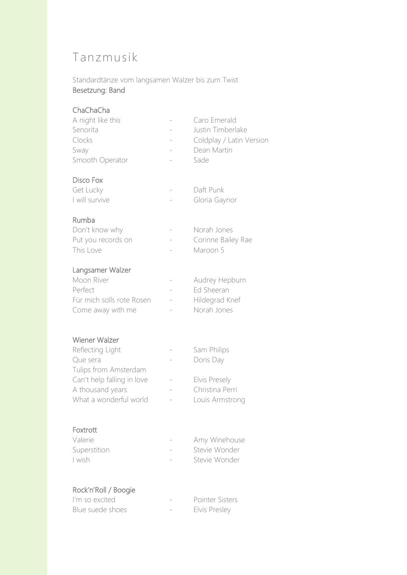### Tanzmusik

Standardtänze vom langsamen Walzer bis zum Twist Besetzung: Band

#### ChaChaCha

| A night like this | Caro Emerald             |
|-------------------|--------------------------|
| Senorita          | Justin Timberlake        |
| Clocks            | Coldplay / Latin Version |
| Sway              | Dean Martin              |
| Smooth Operator   | Sade                     |
|                   |                          |

#### Disco Fox

| Get Lucky      | Daft Punk     |
|----------------|---------------|
| I will survive | Gloria Gaynor |

#### Rumba

| Don't know why     | Norah Jones        |
|--------------------|--------------------|
| Put you records on | Corinne Bailey Rae |
| This Love          | Maroon 5           |

#### Langsamer Walzer

| Moon River                | Audrey Hepburn |
|---------------------------|----------------|
| Perfect                   | Ed Sheeran     |
| Für mich solls rote Rosen | Hildegrad Knef |
| Come away with me         | Norah Jones    |

#### Wiener Walzer

| Reflecting Light           | Sam Philips     |
|----------------------------|-----------------|
| Que sera                   | Doris Day       |
| Tulips from Amsterdam      |                 |
| Can't help falling in love | Elvis Presely   |
| A thousand years           | Christina Perri |
| What a wonderful world     | Louis Armstrong |

#### Foxtrott

| Valerie      | Amy Winehouse |
|--------------|---------------|
| Superstition | Stevie Wonder |
| I wish       | Stevie Wonder |

#### Rock'n'Roll / Boogie

| I'm so excited   | Pointer Sisters |
|------------------|-----------------|
| Blue suede shoes | Elvis Presley   |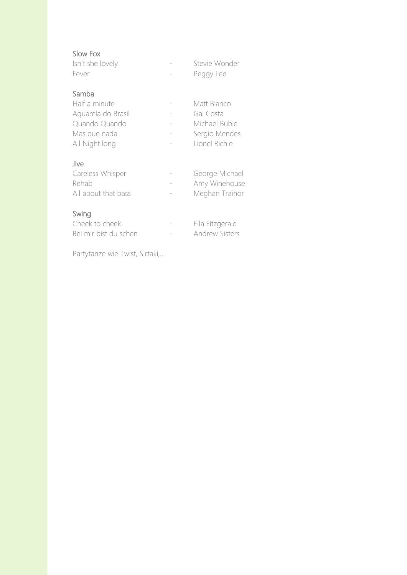#### Slow Fox

| Isn't she lovely | Stevie Wonder |
|------------------|---------------|
| Fever            | Peggy Lee     |

#### Samba

| Half a minute      | Matt Bianco   |
|--------------------|---------------|
| Aquarela do Brasil | Gal Costa     |
| Quando Quando      | Michael Buble |
| Mas que nada       | Sergio Mendes |
| All Night long     | Lionel Richie |

#### Jive

| Careless Whisper    | George Michael |
|---------------------|----------------|
| Rehab               | Amy Winehouse  |
| All about that bass | Meghan Trainor |
|                     |                |

### Swing

| Cheek to cheek        |                          | Ella Fitzgerald       |
|-----------------------|--------------------------|-----------------------|
| Bei mir bist du schen | $\overline{\phantom{a}}$ | <b>Andrew Sisters</b> |

Partytänze wie Twist, Sirtaki,…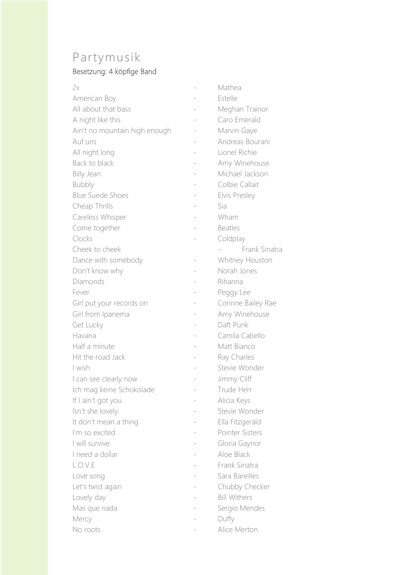## Partymusik

### Besetzung: 4 köpfige Band

| 2x                            | Mathea              |
|-------------------------------|---------------------|
| American Boy                  | Estelle             |
| All about that bass           | Meghan Trainor      |
| A night like this             | Caro Emerald        |
| Ain't no mountain high enough | Marvin Gaye         |
| Auf uns                       | Andreas Bourani     |
| All night long                | Lionel Richie       |
| Back to black                 | Amy Winehouse       |
| <b>Billy Jean</b>             | Michael Jackson     |
| <b>Bubbly</b>                 | Colbie Callait      |
| <b>Blue Suede Shoes</b>       | Elvis Presley       |
| Cheap Thrills                 | Sia                 |
| Careless Whisper              | Wham                |
| Come together                 | <b>Beatles</b>      |
| Clocks                        | Coldplay            |
| Cheek to cheek                | Frank Sinatra       |
| Dance with somebody           | Whitney Houston     |
| Don't know why                | Norah Jones         |
| Diamonds                      | Rihanna             |
| Fever                         | Peggy Lee           |
| Girl put your records on      | Corinne Bailey Rae  |
| Girl from Ipanema             | Amy Winehouse       |
| Get Lucky                     | Daft Punk           |
| Havana                        | Camila Cabello      |
| Half a minute                 | Matt Bianco         |
| Hit the road Jack             | Ray Charles         |
| I wish                        | Stevie Wonder       |
| I can see clearly now         | Jimmy Cliff         |
| Ich mag keine Schokolade      | Trude Herr          |
| If I ain't got you            | Alicia Keys         |
| Isn't she lovely              | Stevie Wonder       |
| It don't mean a thing         | Ella Fitzgerald     |
| I'm so excited                | Pointer Sisters     |
| I will survive                | Gloria Gaynor       |
| I need a dollar               | Aloe Black          |
| L.O.V.E                       | Frank Sinatra       |
| Love song                     | Sara Bareilles      |
| Let's twist again             | Chubby Checker      |
| Lovely day                    | <b>Bill Withers</b> |
| Mas que nada                  | Sergio Mendes       |
| Mercy                         | Duffy               |
| No roots                      | Alice Merton        |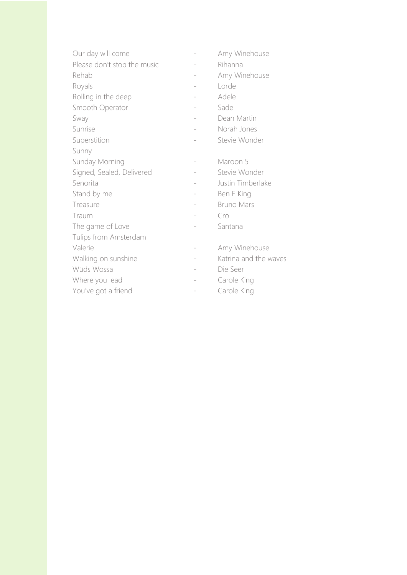| Our day will come           |                   | Amy Winehouse         |
|-----------------------------|-------------------|-----------------------|
| Please don't stop the music |                   | Rihanna               |
| Rehab                       |                   | Amy Winehouse         |
| Royals                      | $\qquad \qquad -$ | Lorde                 |
| Rolling in the deep         |                   | Adele                 |
| Smooth Operator             |                   | Sade                  |
| Sway                        |                   | Dean Martin           |
| Sunrise                     |                   | Norah Jones           |
| Superstition                |                   | Stevie Wonder         |
| Sunny                       |                   |                       |
| Sunday Morning              |                   | Maroon 5              |
| Signed, Sealed, Delivered   |                   | Stevie Wonder         |
| Senorita                    |                   | Justin Timberlake     |
| Stand by me                 |                   | Ben E King            |
| Treasure                    |                   | <b>Bruno Mars</b>     |
| Traum                       |                   | Cro                   |
| The game of Love            |                   | Santana               |
| Tulips from Amsterdam       |                   |                       |
| Valerie                     |                   | Amy Winehouse         |
| Walking on sunshine         | $\qquad \qquad -$ | Katrina and the waves |
| Wüds Wossa                  |                   | Die Seer              |
| Where you lead              |                   | Carole King           |
| You've got a friend         |                   | Carole King           |